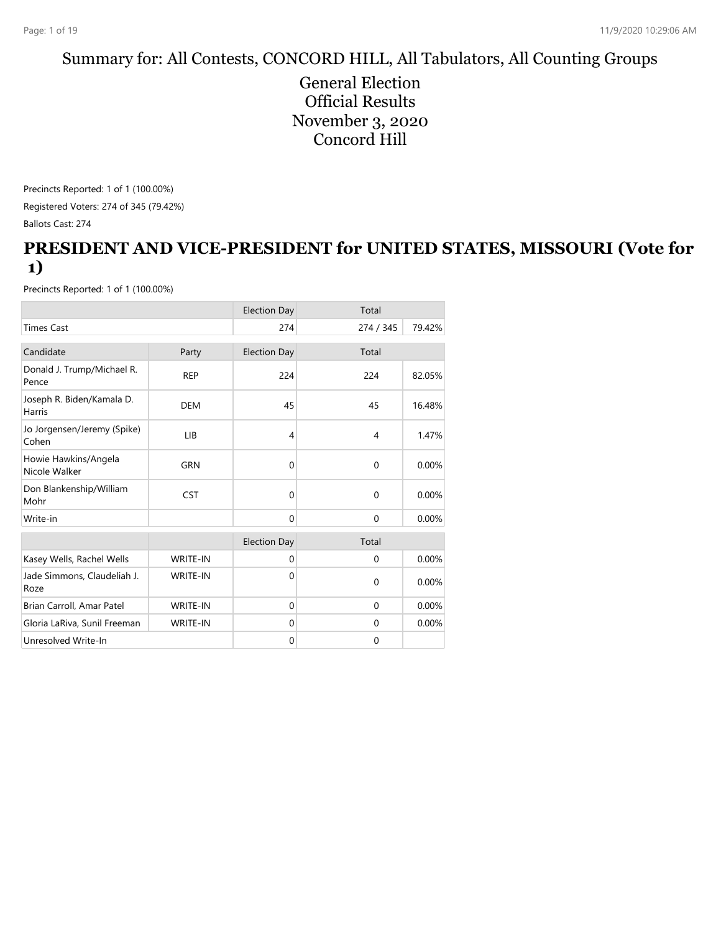# Summary for: All Contests, CONCORD HILL, All Tabulators, All Counting Groups

General Election Official Results November 3, 2020 Concord Hill

Precincts Reported: 1 of 1 (100.00%) Registered Voters: 274 of 345 (79.42%) Ballots Cast: 274

#### **PRESIDENT AND VICE-PRESIDENT for UNITED STATES, MISSOURI (Vote for 1)**

|                                       |                 | <b>Election Day</b> | Total        |        |
|---------------------------------------|-----------------|---------------------|--------------|--------|
| <b>Times Cast</b>                     |                 | 274                 | 274 / 345    | 79.42% |
| Candidate                             | Party           | <b>Election Day</b> | Total        |        |
| Donald J. Trump/Michael R.<br>Pence   | <b>REP</b>      | 224                 | 224          | 82.05% |
| Joseph R. Biden/Kamala D.<br>Harris   | <b>DEM</b>      | 45                  | 45           | 16.48% |
| Jo Jorgensen/Jeremy (Spike)<br>Cohen  | LIB             | 4                   | 4            | 1.47%  |
| Howie Hawkins/Angela<br>Nicole Walker | GRN             | $\Omega$            | $\Omega$     | 0.00%  |
| Don Blankenship/William<br>Mohr       | <b>CST</b>      | $\Omega$            | $\mathbf{0}$ | 0.00%  |
| Write-in                              |                 | $\Omega$            | $\mathbf{0}$ | 0.00%  |
|                                       |                 | <b>Election Day</b> | Total        |        |
| Kasey Wells, Rachel Wells             | <b>WRITE-IN</b> | $\mathbf 0$         | $\mathbf 0$  | 0.00%  |
| Jade Simmons, Claudeliah J.<br>Roze   | <b>WRITE-IN</b> | $\Omega$            | $\Omega$     | 0.00%  |
| Brian Carroll, Amar Patel             | <b>WRITE-IN</b> | $\Omega$            | $\Omega$     | 0.00%  |
| Gloria LaRiva, Sunil Freeman          | <b>WRITE-IN</b> | $\mathbf{0}$        | $\mathbf{0}$ | 0.00%  |
| Unresolved Write-In                   |                 | $\mathbf{0}$        | $\mathbf 0$  |        |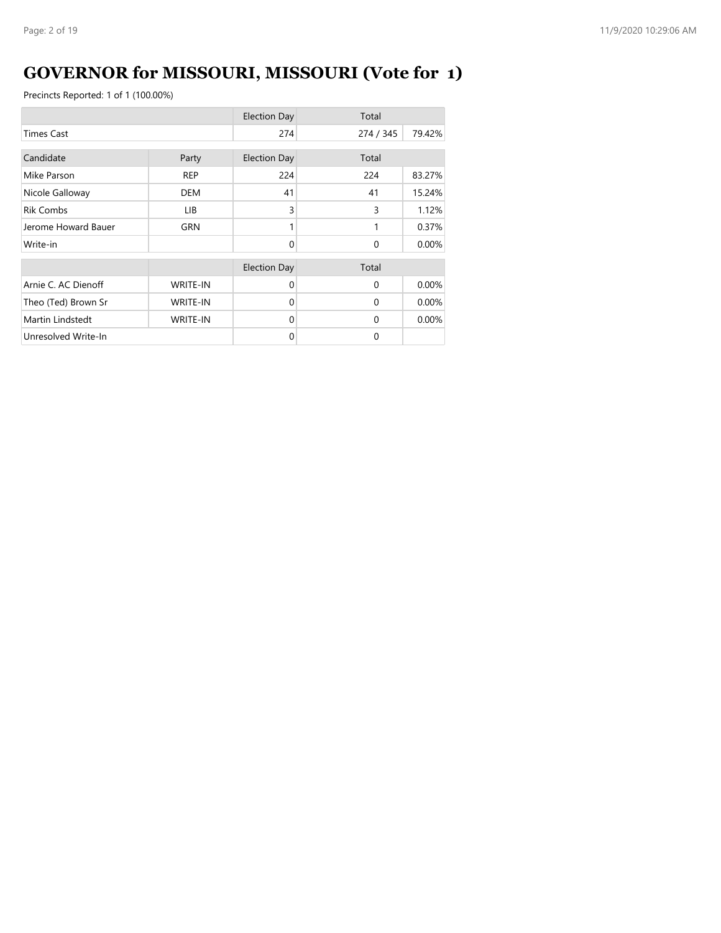# **GOVERNOR for MISSOURI, MISSOURI (Vote for 1)**

|                     |                 | <b>Election Day</b> | Total     |        |
|---------------------|-----------------|---------------------|-----------|--------|
| <b>Times Cast</b>   |                 | 274                 | 274 / 345 | 79.42% |
| Candidate           | Party           | <b>Election Day</b> | Total     |        |
| Mike Parson         | <b>REP</b>      | 224                 | 224       | 83.27% |
| Nicole Galloway     | <b>DEM</b>      | 41                  | 41        | 15.24% |
| <b>Rik Combs</b>    | LIB.            | 3                   | 3         | 1.12%  |
| Jerome Howard Bauer | GRN             |                     | 1         | 0.37%  |
| Write-in            |                 | $\Omega$            | $\Omega$  | 0.00%  |
|                     |                 | <b>Election Day</b> | Total     |        |
| Arnie C. AC Dienoff | <b>WRITE-IN</b> | $\Omega$            | $\Omega$  | 0.00%  |
| Theo (Ted) Brown Sr | <b>WRITE-IN</b> | $\Omega$            | $\Omega$  | 0.00%  |
| Martin Lindstedt    | <b>WRITE-IN</b> | $\Omega$            | $\Omega$  | 0.00%  |
| Unresolved Write-In |                 | $\Omega$            | $\Omega$  |        |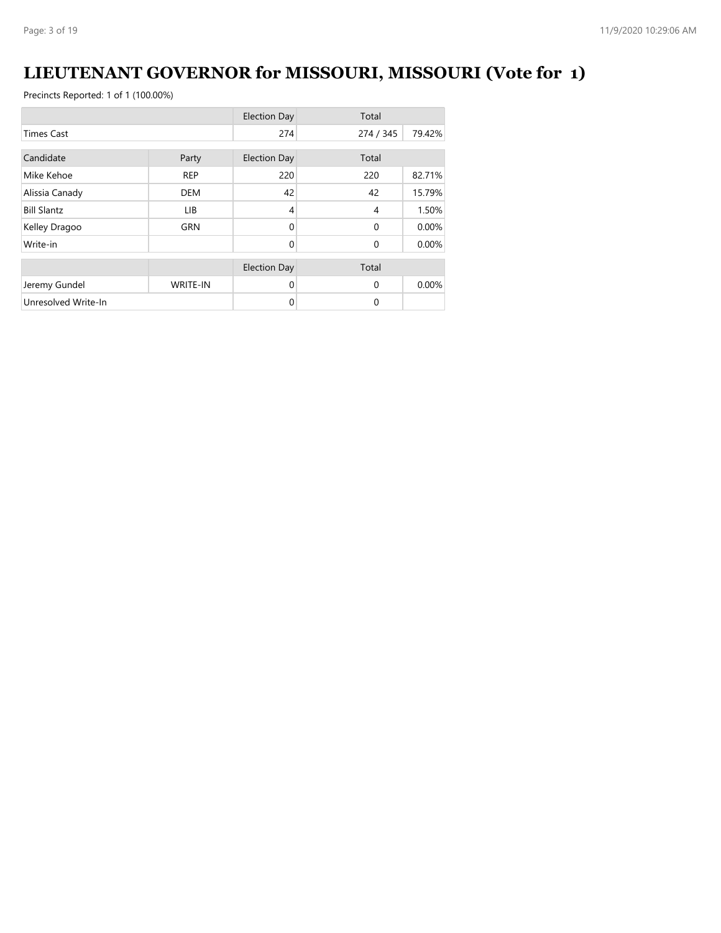# **LIEUTENANT GOVERNOR for MISSOURI, MISSOURI (Vote for 1)**

|                     |                 | <b>Election Day</b> | Total        |        |
|---------------------|-----------------|---------------------|--------------|--------|
| <b>Times Cast</b>   |                 | 274                 | 274 / 345    | 79.42% |
| Candidate           |                 |                     | Total        |        |
|                     | Party           | <b>Election Day</b> |              |        |
| Mike Kehoe          | <b>REP</b>      | 220                 | 220          | 82.71% |
| Alissia Canady      | <b>DEM</b>      | 42                  | 42           | 15.79% |
| <b>Bill Slantz</b>  | LIB.            | $\overline{4}$      | 4            | 1.50%  |
| Kelley Dragoo       | <b>GRN</b>      | $\Omega$            | $\mathbf{0}$ | 0.00%  |
| Write-in            |                 | $\Omega$            | $\mathbf{0}$ | 0.00%  |
|                     |                 | <b>Election Day</b> | Total        |        |
|                     |                 |                     |              |        |
| Jeremy Gundel       | <b>WRITE-IN</b> | $\Omega$            | $\Omega$     | 0.00%  |
| Unresolved Write-In |                 | 0                   | 0            |        |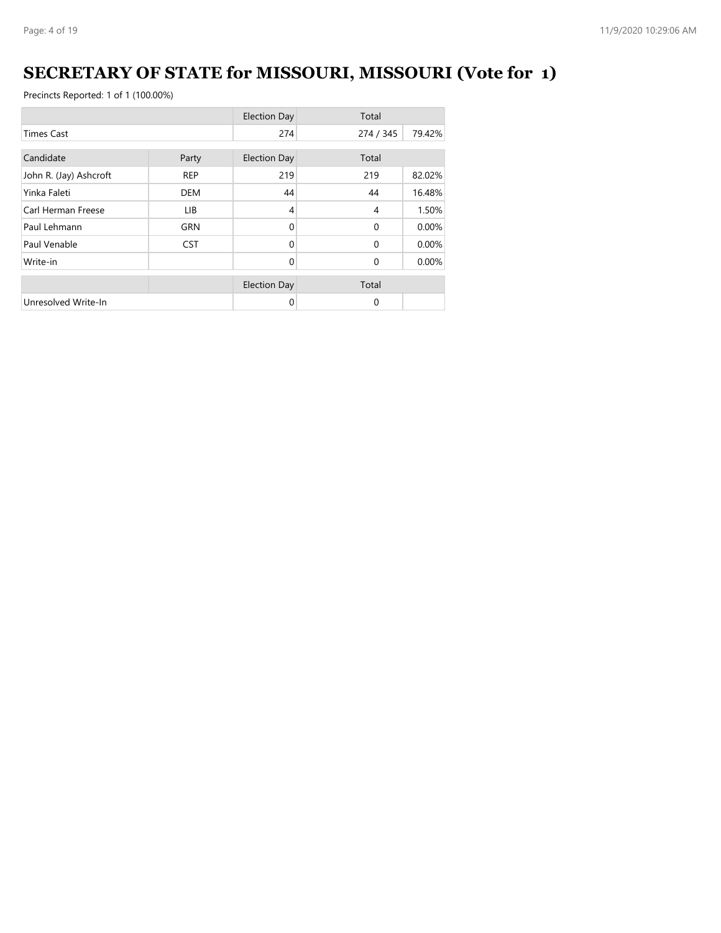# **SECRETARY OF STATE for MISSOURI, MISSOURI (Vote for 1)**

|                        |            | <b>Election Day</b> | Total          |          |
|------------------------|------------|---------------------|----------------|----------|
| <b>Times Cast</b>      |            | 274                 | 274 / 345      | 79.42%   |
| Candidate<br>Party     |            | <b>Election Day</b> | Total          |          |
| John R. (Jay) Ashcroft | <b>REP</b> | 219                 | 219            | 82.02%   |
| Yinka Faleti           | <b>DEM</b> | 44                  | 44             | 16.48%   |
| Carl Herman Freese     | LIB.       | 4                   | $\overline{4}$ | 1.50%    |
| Paul Lehmann           | <b>GRN</b> | $\Omega$            | $\Omega$       | $0.00\%$ |
| Paul Venable           | <b>CST</b> | $\Omega$            | $\Omega$       | 0.00%    |
| Write-in               |            | $\Omega$            | $\Omega$       | 0.00%    |
|                        |            | <b>Election Day</b> | Total          |          |
| Unresolved Write-In    |            | 0                   | $\Omega$       |          |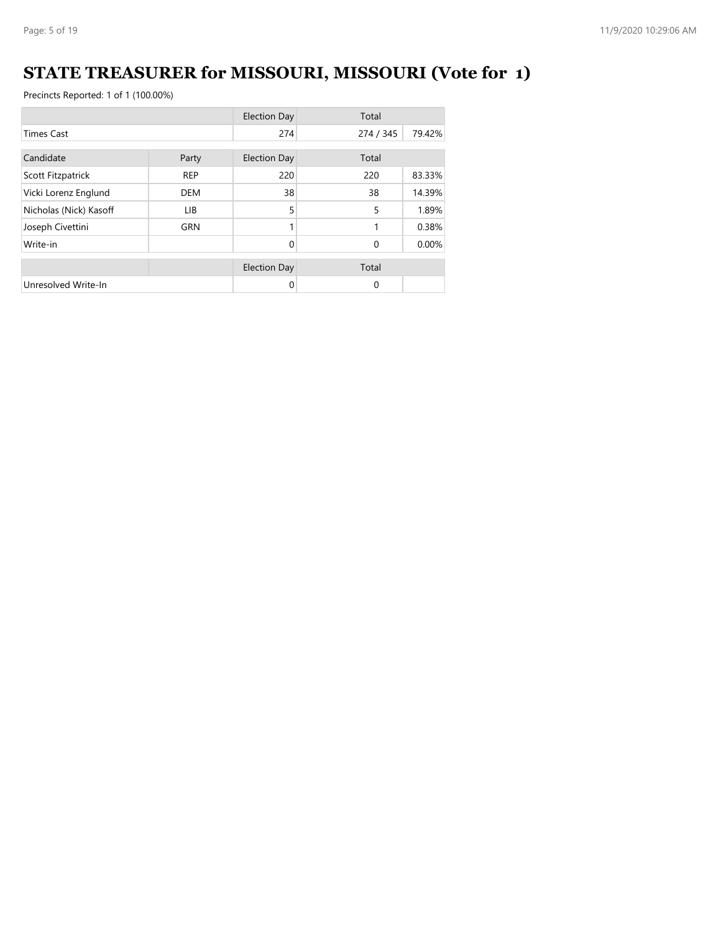# **STATE TREASURER for MISSOURI, MISSOURI (Vote for 1)**

|                        |            | <b>Election Day</b> | Total     |          |
|------------------------|------------|---------------------|-----------|----------|
| <b>Times Cast</b>      |            | 274                 | 274 / 345 | 79.42%   |
| Candidate<br>Party     |            | <b>Election Day</b> | Total     |          |
| Scott Fitzpatrick      | <b>REP</b> | 220                 | 220       | 83.33%   |
| Vicki Lorenz Englund   | <b>DEM</b> | 38                  | 38        | 14.39%   |
| Nicholas (Nick) Kasoff | LIB.       | 5                   | 5         | 1.89%    |
| Joseph Civettini       | <b>GRN</b> | 1                   | 1         | 0.38%    |
| Write-in               |            | 0                   | $\Omega$  | $0.00\%$ |
|                        |            | <b>Election Day</b> | Total     |          |
| Unresolved Write-In    |            | 0                   | $\Omega$  |          |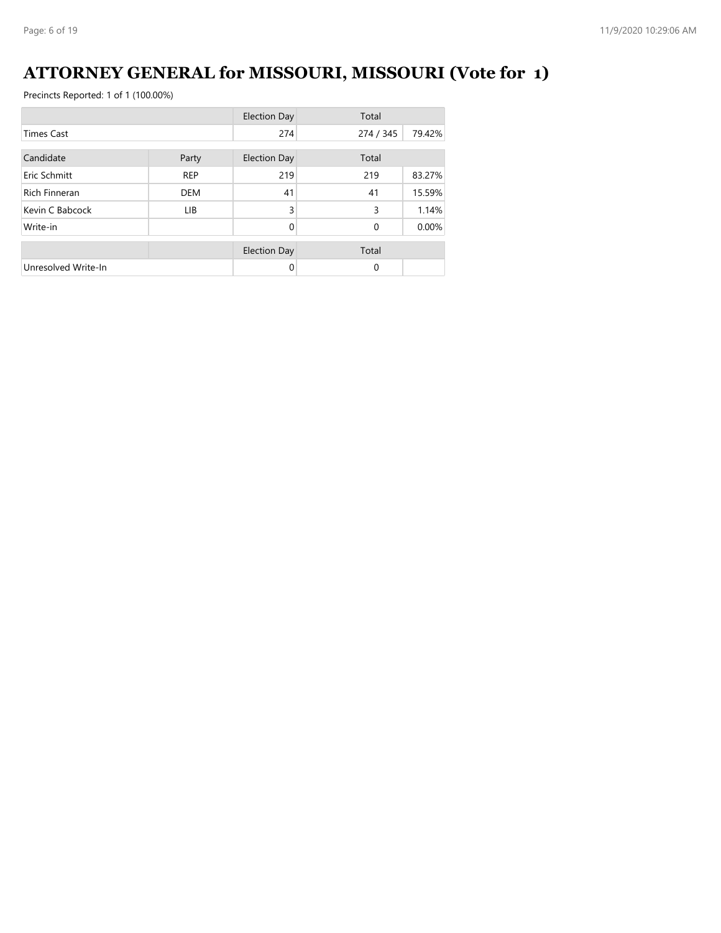#### **ATTORNEY GENERAL for MISSOURI, MISSOURI (Vote for 1)**

|                      |            | <b>Election Day</b> | Total        |        |
|----------------------|------------|---------------------|--------------|--------|
| <b>Times Cast</b>    |            | 274                 | 274 / 345    | 79.42% |
| Candidate<br>Party   |            | <b>Election Day</b> | Total        |        |
| Eric Schmitt         | <b>REP</b> | 219                 | 219          | 83.27% |
| <b>Rich Finneran</b> | <b>DEM</b> | 41                  | 41           | 15.59% |
| Kevin C Babcock      | <b>LIB</b> | 3                   | 3            | 1.14%  |
| Write-in             |            | $\Omega$            | $\mathbf{0}$ | 0.00%  |
|                      |            | <b>Election Day</b> | Total        |        |
| Unresolved Write-In  |            | 0                   | 0            |        |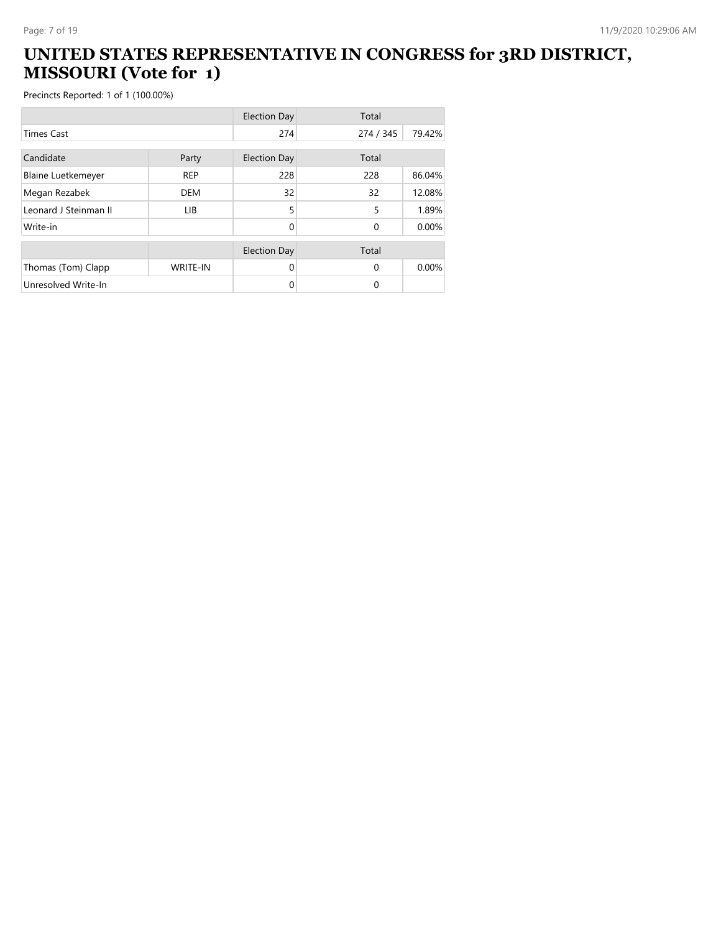#### **UNITED STATES REPRESENTATIVE IN CONGRESS for 3RD DISTRICT, MISSOURI (Vote for 1)**

|                           |                 | <b>Election Day</b> | Total     |        |
|---------------------------|-----------------|---------------------|-----------|--------|
| <b>Times Cast</b>         |                 | 274                 | 274 / 345 | 79.42% |
| Candidate                 | Party           | <b>Election Day</b> | Total     |        |
| <b>Blaine Luetkemeyer</b> | <b>REP</b>      | 228                 | 228       | 86.04% |
| Megan Rezabek             | <b>DEM</b>      | 32                  | 32        | 12.08% |
| Leonard J Steinman II     | <b>LIB</b>      | 5                   | 5         | 1.89%  |
| Write-in                  |                 | 0                   | $\Omega$  | 0.00%  |
|                           |                 | <b>Election Day</b> | Total     |        |
| Thomas (Tom) Clapp        | <b>WRITE-IN</b> | 0                   | $\Omega$  | 0.00%  |
| Unresolved Write-In       |                 | 0                   | 0         |        |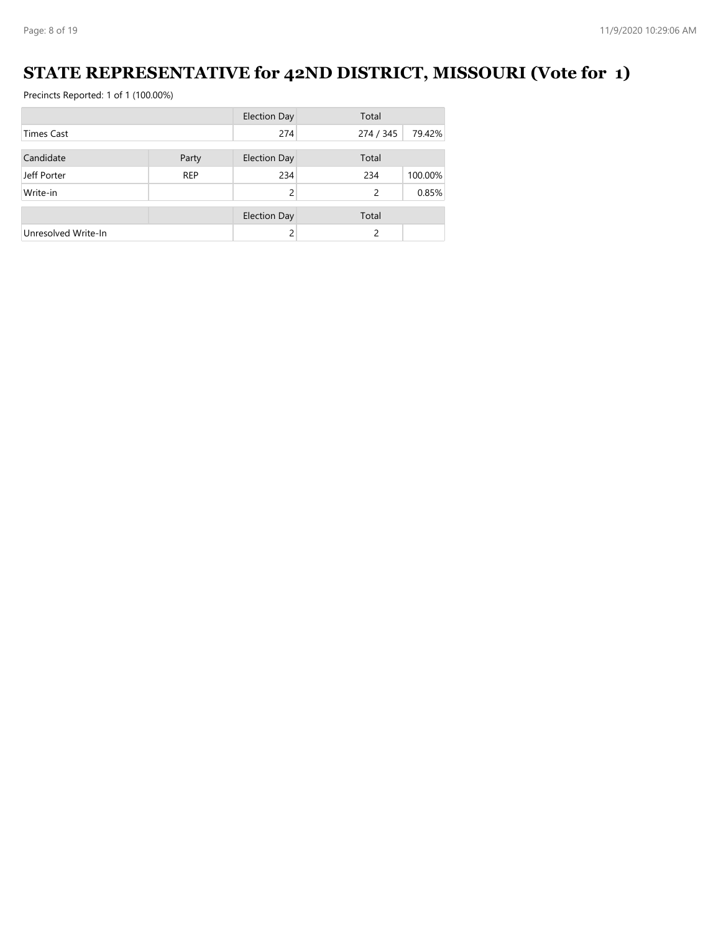#### **STATE REPRESENTATIVE for 42ND DISTRICT, MISSOURI (Vote for 1)**

|                     |            | <b>Election Day</b> | Total     |         |
|---------------------|------------|---------------------|-----------|---------|
| <b>Times Cast</b>   |            | 274                 | 274 / 345 | 79.42%  |
|                     |            |                     |           |         |
| Candidate           | Party      | <b>Election Day</b> | Total     |         |
| Jeff Porter         | <b>REP</b> | 234                 | 234       | 100.00% |
| Write-in            |            | 2                   | 2         | 0.85%   |
|                     |            |                     |           |         |
|                     |            | <b>Election Day</b> | Total     |         |
| Unresolved Write-In |            |                     | 2         |         |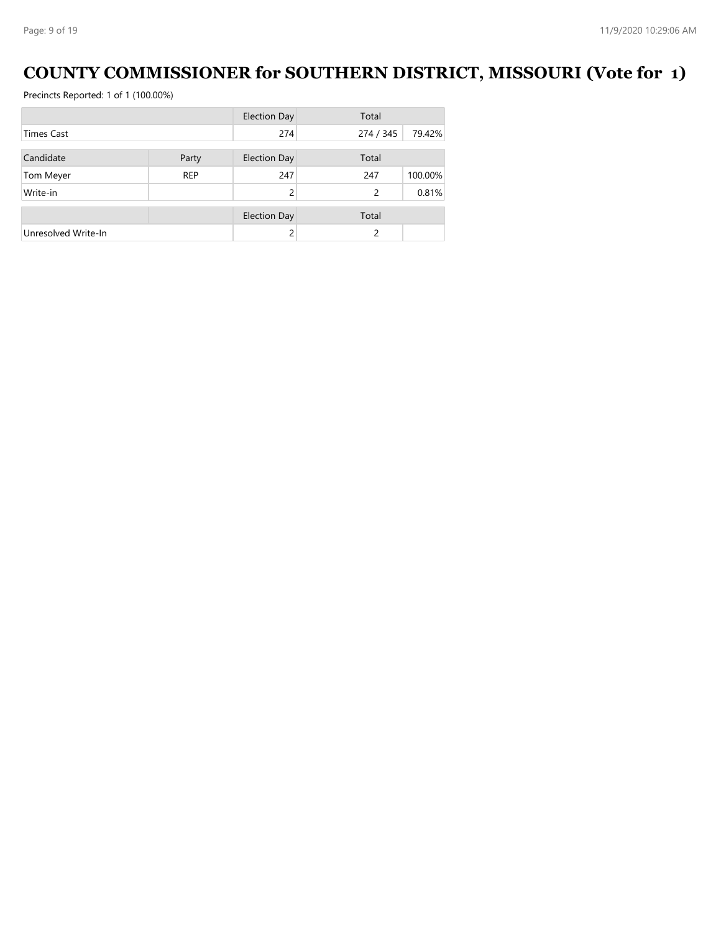#### **COUNTY COMMISSIONER for SOUTHERN DISTRICT, MISSOURI (Vote for 1)**

|                     |            | <b>Election Day</b> | Total          |         |
|---------------------|------------|---------------------|----------------|---------|
| <b>Times Cast</b>   |            | 274                 | 274 / 345      | 79.42%  |
|                     |            |                     |                |         |
| Candidate           | Party      | Election Day        | Total          |         |
| Tom Meyer           | <b>REP</b> | 247                 | 247            | 100.00% |
| Write-in            |            |                     | 2              | 0.81%   |
|                     |            | <b>Election Day</b> | Total          |         |
| Unresolved Write-In |            |                     | $\mathfrak{p}$ |         |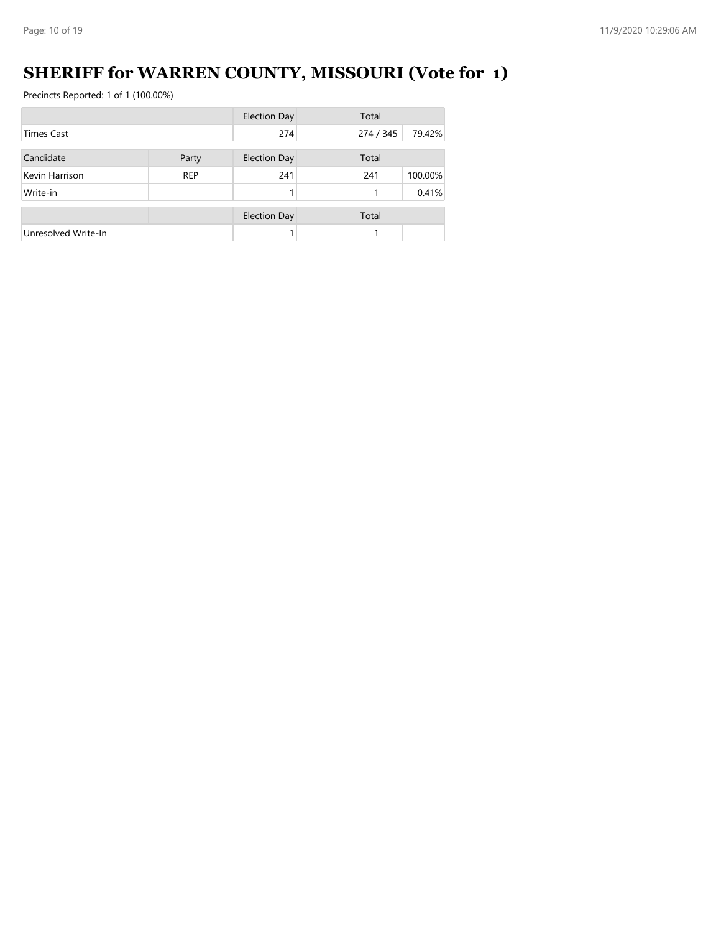# **SHERIFF for WARREN COUNTY, MISSOURI (Vote for 1)**

|                     |            | <b>Election Day</b> | Total     |         |
|---------------------|------------|---------------------|-----------|---------|
| <b>Times Cast</b>   |            | 274                 | 274 / 345 | 79.42%  |
| Candidate           |            |                     | Total     |         |
|                     | Party      | <b>Election Day</b> |           |         |
| Kevin Harrison      | <b>REP</b> | 241                 | 241       | 100.00% |
| Write-in            |            |                     |           | 0.41%   |
|                     |            |                     |           |         |
|                     |            | <b>Election Day</b> | Total     |         |
| Unresolved Write-In |            |                     |           |         |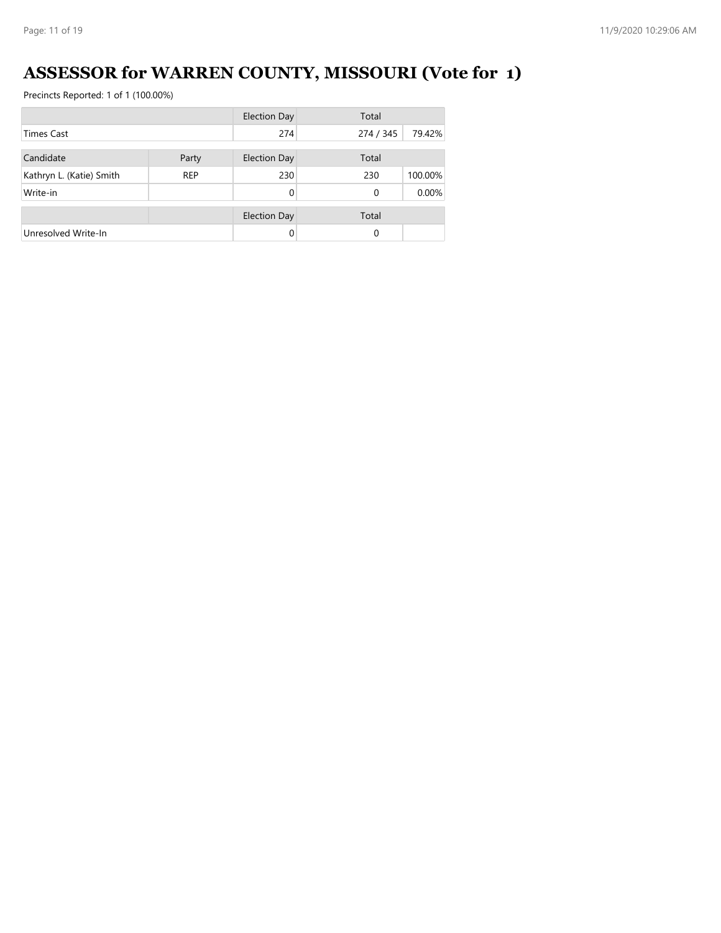# **ASSESSOR for WARREN COUNTY, MISSOURI (Vote for 1)**

|                          |            | <b>Election Day</b> | Total     |         |
|--------------------------|------------|---------------------|-----------|---------|
| <b>Times Cast</b>        |            | 274                 | 274 / 345 | 79.42%  |
| Candidate                | Party      | <b>Election Day</b> | Total     |         |
| Kathryn L. (Katie) Smith | <b>REP</b> | 230                 | 230       | 100.00% |
| Write-in                 |            | $\Omega$            | $\Omega$  | 0.00%   |
|                          |            | <b>Election Day</b> | Total     |         |
| Unresolved Write-In      |            | $\Omega$            | 0         |         |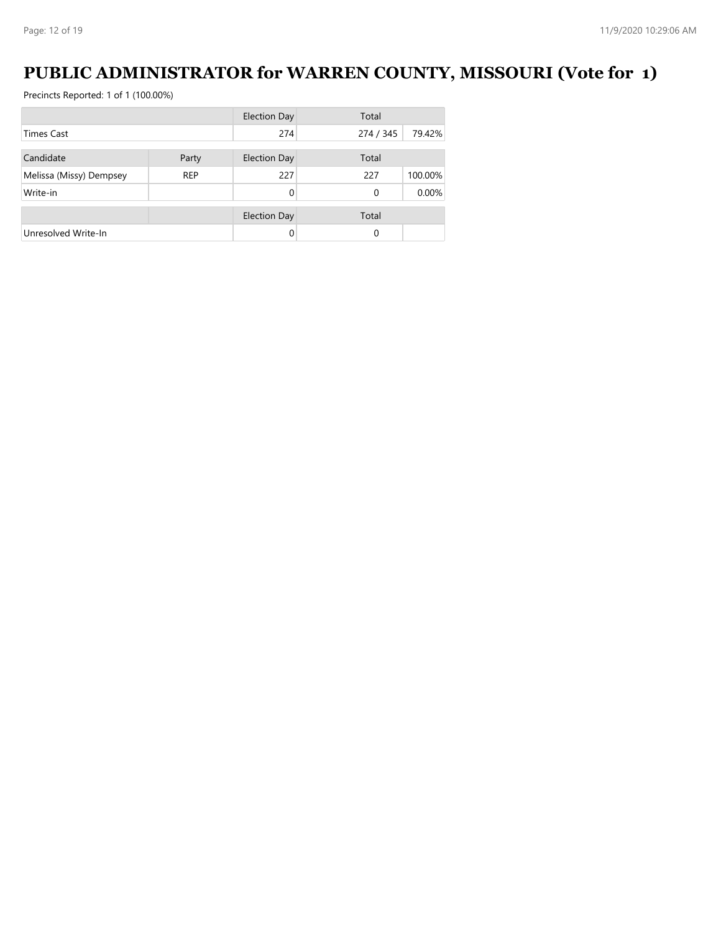#### **PUBLIC ADMINISTRATOR for WARREN COUNTY, MISSOURI (Vote for 1)**

|                         |            | <b>Election Day</b> | Total     |         |
|-------------------------|------------|---------------------|-----------|---------|
| <b>Times Cast</b>       |            | 274                 | 274 / 345 | 79.42%  |
|                         |            |                     |           |         |
| Candidate               | Party      | <b>Election Day</b> | Total     |         |
| Melissa (Missy) Dempsey | <b>REP</b> | 227                 | 227       | 100.00% |
| Write-in                |            | 0                   | 0         | 0.00%   |
|                         |            | <b>Election Day</b> | Total     |         |
| Unresolved Write-In     |            | 0                   | 0         |         |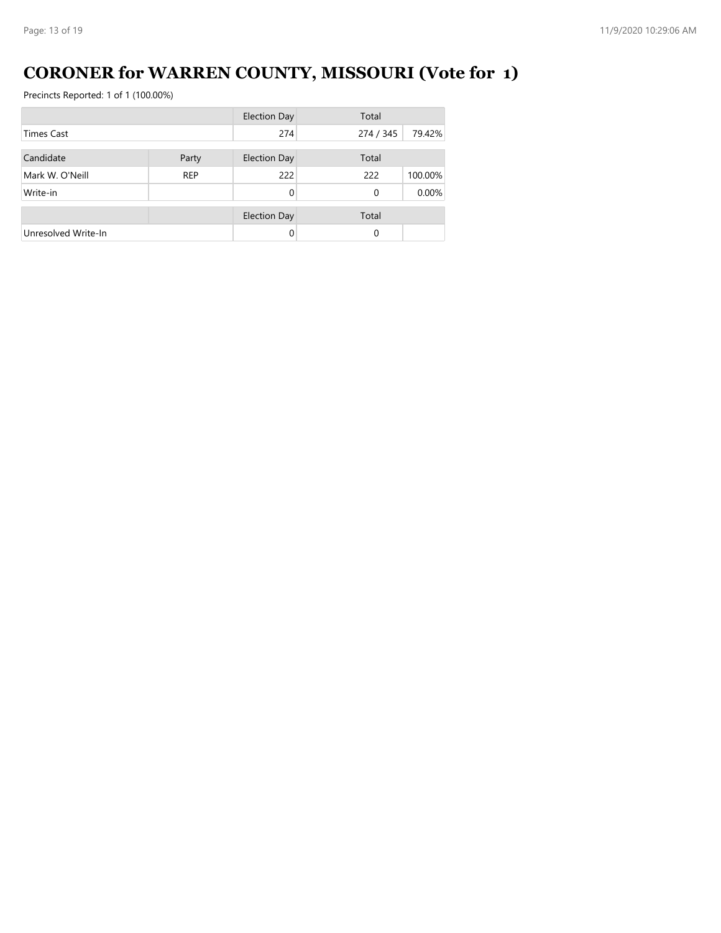# **CORONER for WARREN COUNTY, MISSOURI (Vote for 1)**

|                     |            | <b>Election Day</b> | Total     |         |  |
|---------------------|------------|---------------------|-----------|---------|--|
| <b>Times Cast</b>   |            | 274                 | 274 / 345 | 79.42%  |  |
| Candidate<br>Party  |            | <b>Election Day</b> | Total     |         |  |
| Mark W. O'Neill     | <b>REP</b> | 222                 | 222       | 100.00% |  |
| Write-in            |            | $\Omega$            | $\Omega$  | 0.00%   |  |
|                     |            | <b>Election Day</b> | Total     |         |  |
| Unresolved Write-In |            | $\Omega$            | 0         |         |  |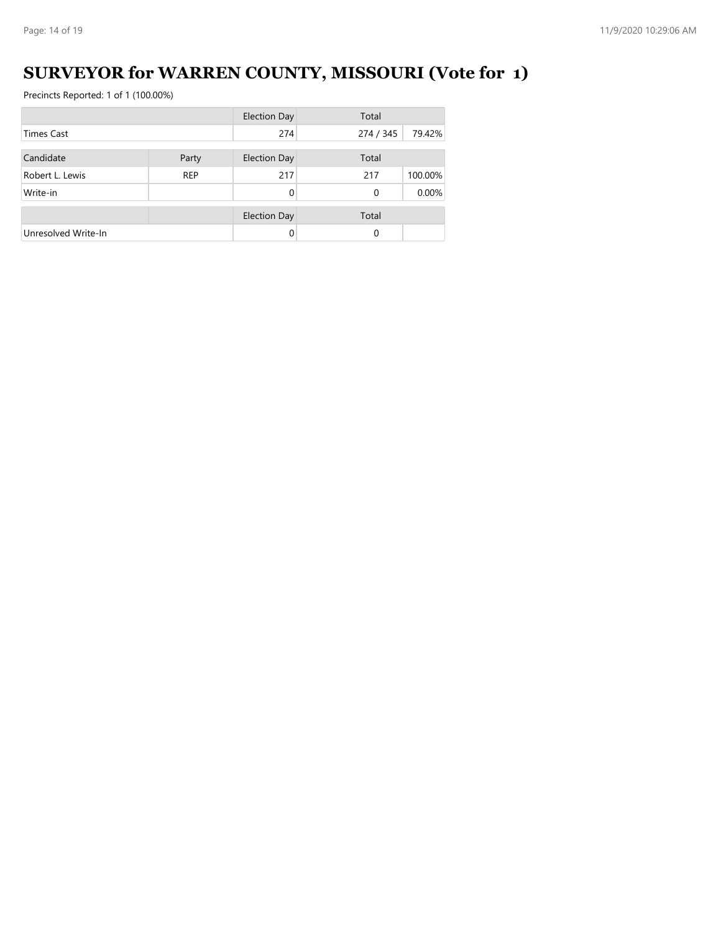# **SURVEYOR for WARREN COUNTY, MISSOURI (Vote for 1)**

|                     |            | <b>Election Day</b> | Total     |         |  |
|---------------------|------------|---------------------|-----------|---------|--|
| <b>Times Cast</b>   |            | 274                 | 274 / 345 | 79.42%  |  |
|                     |            |                     |           |         |  |
| Candidate           | Party      | Election Day        | Total     |         |  |
| Robert L. Lewis     | <b>REP</b> | 217                 | 217       | 100.00% |  |
| Write-in            |            | 0                   | $\Omega$  | 0.00%   |  |
|                     |            | <b>Election Day</b> | Total     |         |  |
| Unresolved Write-In |            | 0                   | $\Omega$  |         |  |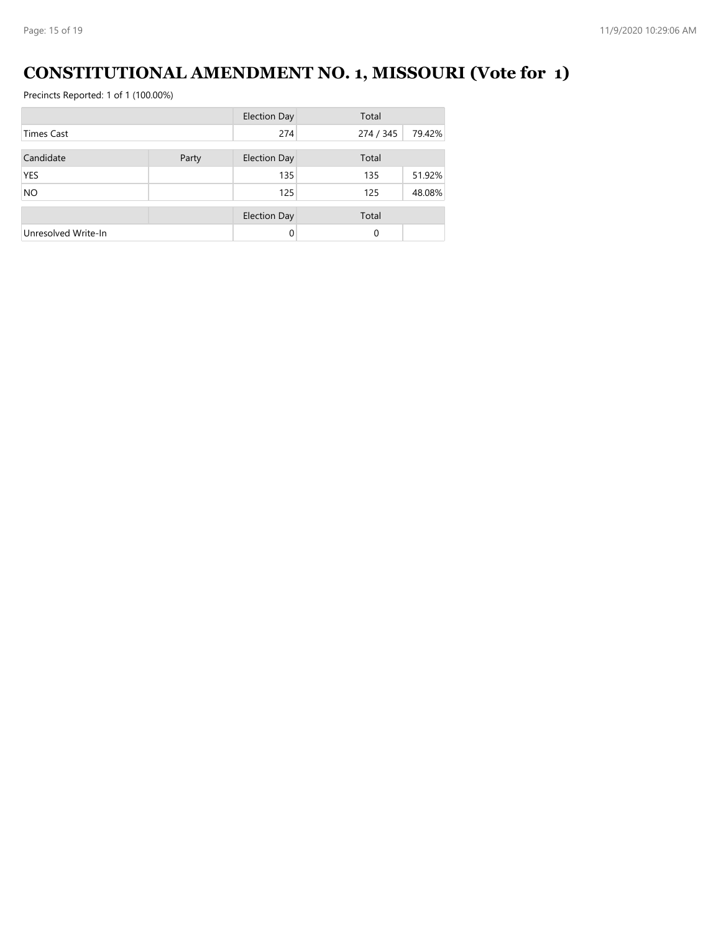#### **CONSTITUTIONAL AMENDMENT NO. 1, MISSOURI (Vote for 1)**

|                     |       | <b>Election Day</b> | Total     |        |
|---------------------|-------|---------------------|-----------|--------|
| <b>Times Cast</b>   |       | 274                 | 274 / 345 | 79.42% |
| Candidate           | Party | <b>Election Day</b> | Total     |        |
| <b>YES</b>          |       | 135                 | 135       | 51.92% |
| <b>NO</b>           |       | 125                 | 125       | 48.08% |
|                     |       | <b>Election Day</b> | Total     |        |
| Unresolved Write-In |       | 0                   | 0         |        |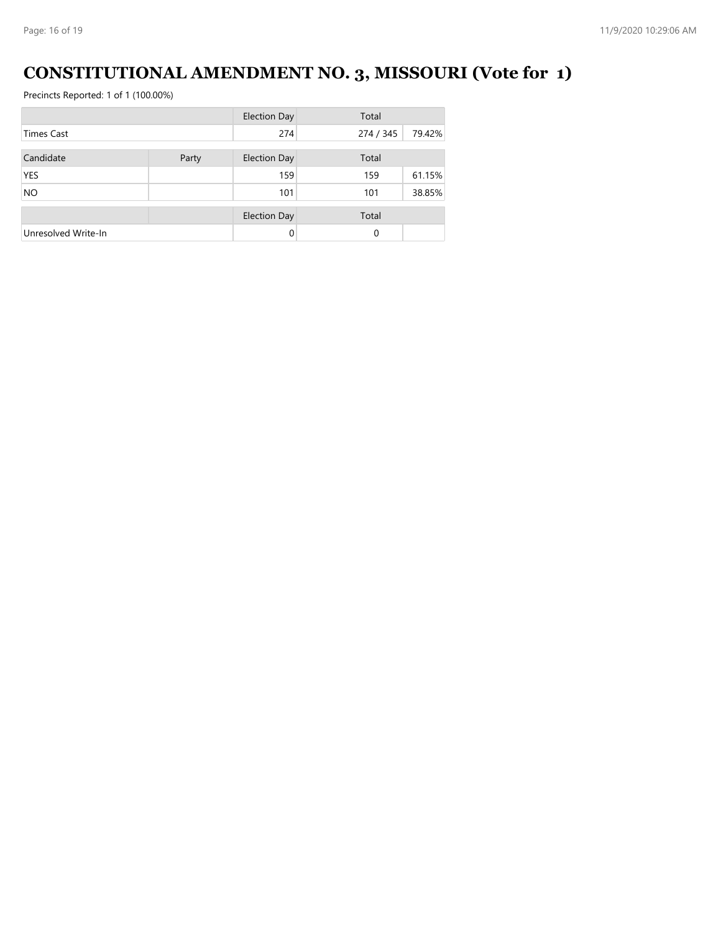# **CONSTITUTIONAL AMENDMENT NO. 3, MISSOURI (Vote for 1)**

|                     |       | <b>Election Day</b> | Total     |        |  |
|---------------------|-------|---------------------|-----------|--------|--|
| <b>Times Cast</b>   |       | 274                 | 274 / 345 | 79.42% |  |
| Candidate           |       |                     | Total     |        |  |
|                     | Party | <b>Election Day</b> |           |        |  |
| <b>YES</b>          |       | 159                 | 159       | 61.15% |  |
| <b>NO</b>           |       | 101                 | 101       | 38.85% |  |
|                     |       | <b>Election Day</b> | Total     |        |  |
| Unresolved Write-In |       | 0                   | 0         |        |  |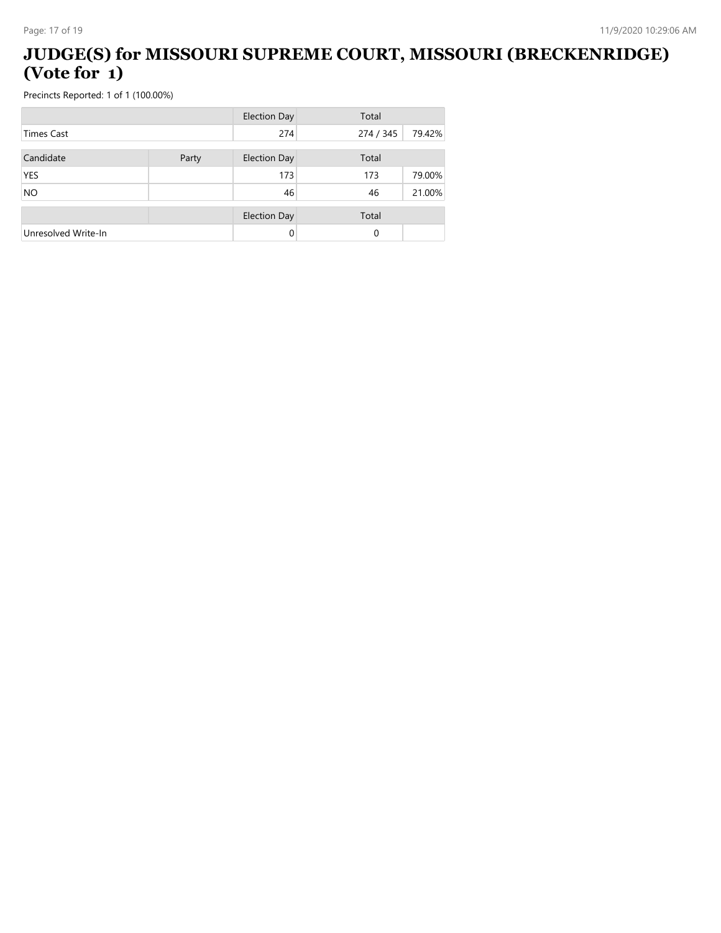#### **JUDGE(S) for MISSOURI SUPREME COURT, MISSOURI (BRECKENRIDGE) (Vote for 1)**

|                     |       | <b>Election Day</b> | Total     |        |
|---------------------|-------|---------------------|-----------|--------|
| <b>Times Cast</b>   |       | 274                 | 274 / 345 | 79.42% |
| Candidate           |       | <b>Election Day</b> | Total     |        |
|                     | Party |                     |           |        |
| <b>YES</b>          |       | 173                 | 173       | 79.00% |
| <b>NO</b>           |       | 46                  | 46        | 21.00% |
|                     |       |                     |           |        |
|                     |       | <b>Election Day</b> | Total     |        |
| Unresolved Write-In |       | 0                   | $\Omega$  |        |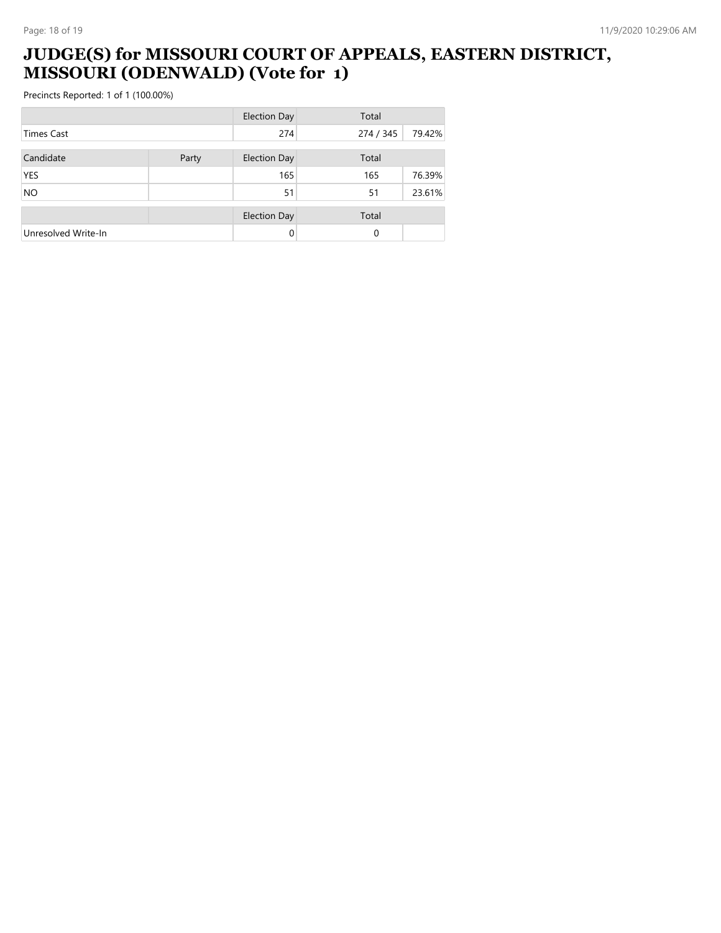#### **JUDGE(S) for MISSOURI COURT OF APPEALS, EASTERN DISTRICT, MISSOURI (ODENWALD) (Vote for 1)**

|                     |       | <b>Election Day</b> | Total     |        |  |
|---------------------|-------|---------------------|-----------|--------|--|
| <b>Times Cast</b>   |       | 274                 | 274 / 345 | 79.42% |  |
| Candidate           | Party | <b>Election Day</b> | Total     |        |  |
| <b>YES</b>          |       | 165                 | 165       | 76.39% |  |
| <b>NO</b>           |       | 51                  | 51        | 23.61% |  |
|                     |       | <b>Election Day</b> | Total     |        |  |
| Unresolved Write-In |       | 0                   | 0         |        |  |